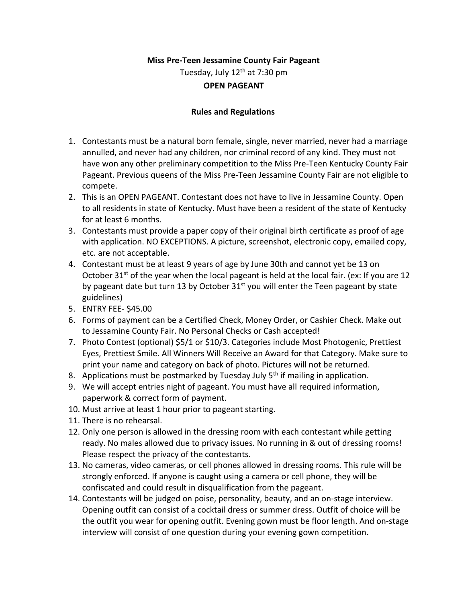# **Miss Pre-Teen Jessamine County Fair Pageant** Tuesday, July  $12<sup>th</sup>$  at 7:30 pm

## **OPEN PAGEANT**

## **Rules and Regulations**

- 1. Contestants must be a natural born female, single, never married, never had a marriage annulled, and never had any children, nor criminal record of any kind. They must not have won any other preliminary competition to the Miss Pre-Teen Kentucky County Fair Pageant. Previous queens of the Miss Pre-Teen Jessamine County Fair are not eligible to compete.
- 2. This is an OPEN PAGEANT. Contestant does not have to live in Jessamine County. Open to all residents in state of Kentucky. Must have been a resident of the state of Kentucky for at least 6 months.
- 3. Contestants must provide a paper copy of their original birth certificate as proof of age with application. NO EXCEPTIONS. A picture, screenshot, electronic copy, emailed copy, etc. are not acceptable.
- 4. Contestant must be at least 9 years of age by June 30th and cannot yet be 13 on October 31<sup>st</sup> of the year when the local pageant is held at the local fair. (ex: If you are 12 by pageant date but turn 13 by October  $31<sup>st</sup>$  you will enter the Teen pageant by state guidelines)
- 5. ENTRY FEE- \$45.00
- 6. Forms of payment can be a Certified Check, Money Order, or Cashier Check. Make out to Jessamine County Fair. No Personal Checks or Cash accepted!
- 7. Photo Contest (optional) \$5/1 or \$10/3. Categories include Most Photogenic, Prettiest Eyes, Prettiest Smile. All Winners Will Receive an Award for that Category. Make sure to print your name and category on back of photo. Pictures will not be returned.
- 8. Applications must be postmarked by Tuesday July  $5<sup>th</sup>$  if mailing in application.
- 9. We will accept entries night of pageant. You must have all required information, paperwork & correct form of payment.
- 10. Must arrive at least 1 hour prior to pageant starting.
- 11. There is no rehearsal.
- 12. Only one person is allowed in the dressing room with each contestant while getting ready. No males allowed due to privacy issues. No running in & out of dressing rooms! Please respect the privacy of the contestants.
- 13. No cameras, video cameras, or cell phones allowed in dressing rooms. This rule will be strongly enforced. If anyone is caught using a camera or cell phone, they will be confiscated and could result in disqualification from the pageant.
- 14. Contestants will be judged on poise, personality, beauty, and an on-stage interview. Opening outfit can consist of a cocktail dress or summer dress. Outfit of choice will be the outfit you wear for opening outfit. Evening gown must be floor length. And on-stage interview will consist of one question during your evening gown competition.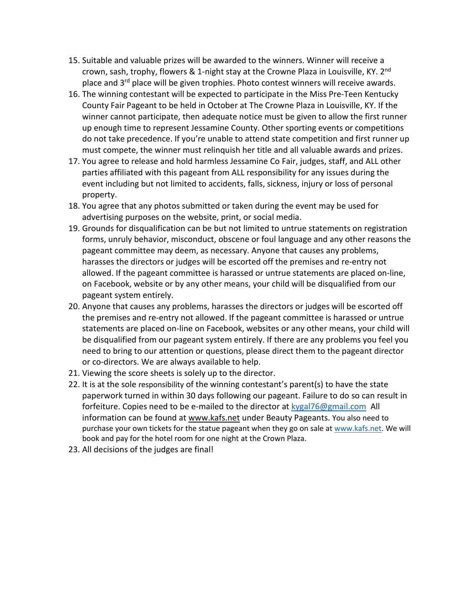- 15. Suitable and valuable prizes will be awarded to the winners. Winner will receive a crown, sash, trophy, flowers & 1-night stay at the Crowne Plaza in Louisville, KY.  $2^{nd}$ place and  $3^{rd}$  place will be given trophies. Photo contest winners will receive awards.
- 16. The winning contestant will be expected to participate in the Miss Pre-Teen Kentucky County Fair Pageant to be held in October at The Crowne Plaza in Louisville, KY. If the winner cannot participate, then adequate notice must be given to allow the first runner up enough time to represent Jessamine County. Other sporting events or competitions do not take precedence. If you're unable to attend state competition and first runner up must compete, the winner must relinquish her title and all valuable awards and prizes.
- 17. You agree to release and hold harmless Jessamine Co Fair, judges, staff, and ALL other parties affiliated with this pageant from ALL responsibility for any issues during the event including but not limited to accidents, falls, sickness, injury or loss of personal property.
- 18. You agree that any photos submitted or taken during the event may be used for advertising purposes on the website, print, or social media.
- 19. Grounds for disqualification can be but not limited to untrue statements on registration forms, unruly behavior, misconduct, obscene or foul language and any other reasons the pageant committee may deem, as necessary. Anyone that causes any problems, harasses the directors or judges will be escorted off the premises and re-entry not allowed. If the pageant committee is harassed or untrue statements are placed on-line, on Facebook, website or by any other means, your child will be disqualified from our pageant system entirely.
- 20. Anyone that causes any problems, harasses the directors or judges will be escorted off the premises and re-entry not allowed. If the pageant committee is harassed or untrue statements are placed on-line on Facebook, websites or any other means, your child will be disqualified from our pageant system entirely. If there are any problems you feel you need to bring to our attention or questions, please direct them to the pageant director or co-directors. We are always available to help.
- 21. Viewing the score sheets is solely up to the director.
- 22. It is at the sole responsibility of the winning contestant's parent(s) to have the state paperwork turned in within 30 days following our pageant. Failure to do so can result in forfeiture. Copies need to be e-mailed to the director at [kygal76@gmail.com](mailto:kygal76@gmail.com) All information can be found at [www.kafs.net](http://www.kafs.net/) under Beauty Pageants. You also need to purchase your own tickets for the statue pageant when they go on sale at [www.kafs.net.](http://www.kafs.net/) We will book and pay for the hotel room for one night at the Crown Plaza.
- 23. All decisions of the judges are final!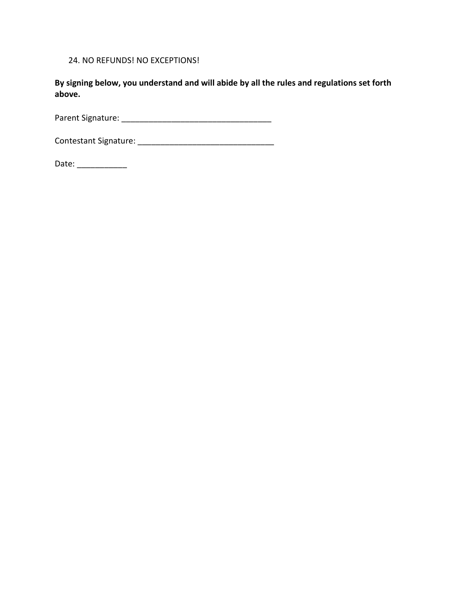24. NO REFUNDS! NO EXCEPTIONS!

**By signing below, you understand and will abide by all the rules and regulations set forth above.**

Parent Signature: \_\_\_\_\_\_\_\_\_\_\_\_\_\_\_\_\_\_\_\_\_\_\_\_\_\_\_\_\_\_\_\_\_

Contestant Signature: \_\_\_\_\_\_\_\_\_\_\_\_\_\_\_\_\_\_\_\_\_\_\_\_\_\_\_\_\_\_

Date: \_\_\_\_\_\_\_\_\_\_\_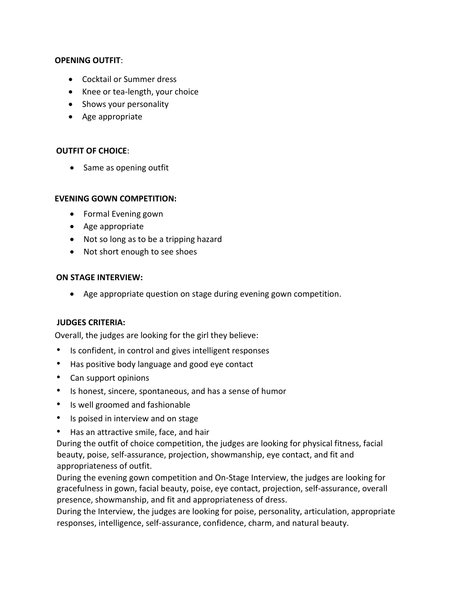## **OPENING OUTFIT**:

- Cocktail or Summer dress
- Knee or tea-length, your choice
- Shows your personality
- Age appropriate

## **OUTFIT OF CHOICE**:

• Same as opening outfit

## **EVENING GOWN COMPETITION:**

- Formal Evening gown
- Age appropriate
- Not so long as to be a tripping hazard
- Not short enough to see shoes

#### **ON STAGE INTERVIEW:**

• Age appropriate question on stage during evening gown competition.

## **JUDGES CRITERIA:**

Overall, the judges are looking for the girl they believe:

- Is confident, in control and gives intelligent responses
- Has positive body language and good eye contact
- Can support opinions
- Is honest, sincere, spontaneous, and has a sense of humor
- Is well groomed and fashionable
- Is poised in interview and on stage
- Has an attractive smile, face, and hair

During the outfit of choice competition, the judges are looking for physical fitness, facial beauty, poise, self-assurance, projection, showmanship, eye contact, and fit and appropriateness of outfit.

During the evening gown competition and On-Stage Interview, the judges are looking for gracefulness in gown, facial beauty, poise, eye contact, projection, self-assurance, overall presence, showmanship, and fit and appropriateness of dress.

During the Interview, the judges are looking for poise, personality, articulation, appropriate responses, intelligence, self-assurance, confidence, charm, and natural beauty.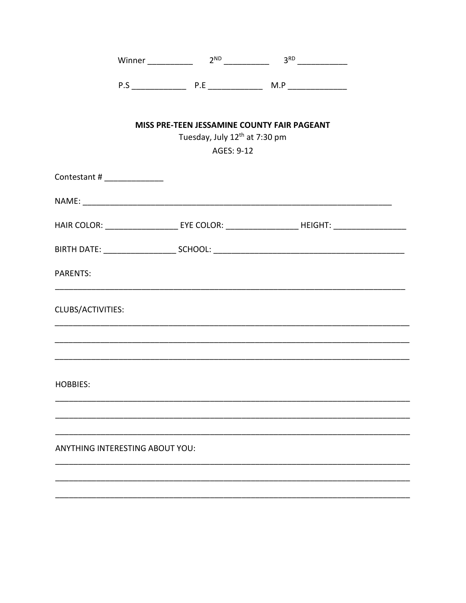|                                        |                                                         | Winner 2 <sup>ND</sup> 2 <sup>ND</sup> 3 <sup>RD</sup> 3 <sup>RD</sup>                               |  |
|----------------------------------------|---------------------------------------------------------|------------------------------------------------------------------------------------------------------|--|
|                                        |                                                         |                                                                                                      |  |
|                                        | Tuesday, July 12 <sup>th</sup> at 7:30 pm<br>AGES: 9-12 | MISS PRE-TEEN JESSAMINE COUNTY FAIR PAGEANT                                                          |  |
| Contestant # _______________           |                                                         |                                                                                                      |  |
|                                        |                                                         |                                                                                                      |  |
|                                        |                                                         | HAIR COLOR: _______________________ EYE COLOR: __________________________HEIGHT: ___________________ |  |
|                                        |                                                         |                                                                                                      |  |
| PARENTS:                               |                                                         |                                                                                                      |  |
| CLUBS/ACTIVITIES:                      |                                                         |                                                                                                      |  |
|                                        |                                                         |                                                                                                      |  |
| <b>HOBBIES:</b>                        |                                                         |                                                                                                      |  |
|                                        |                                                         |                                                                                                      |  |
| <b>ANYTHING INTERESTING ABOUT YOU:</b> |                                                         |                                                                                                      |  |
|                                        |                                                         |                                                                                                      |  |